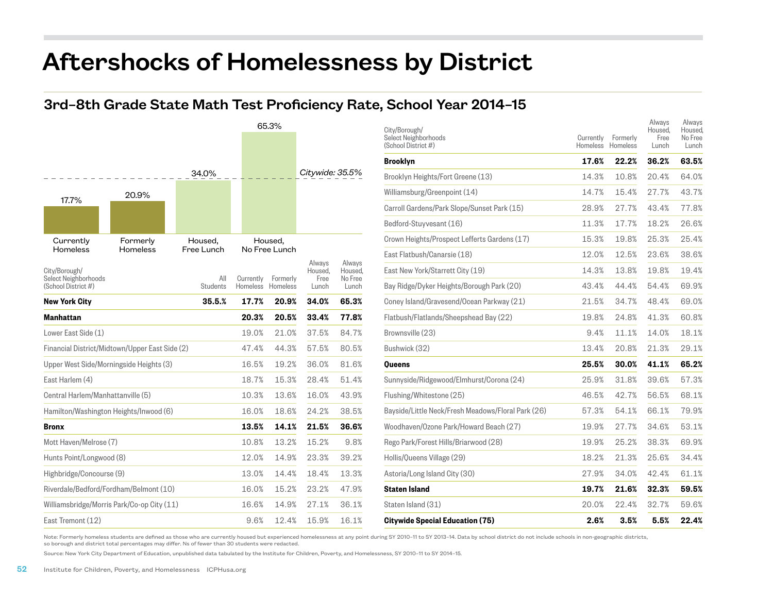## Aftershocks of Homelessness by District

## 3rd–8th Grade State Math Test Proficiency Rate, School Year 2014–15



| City/Borough/<br>Select Neighborhoods<br>(School District #) | Currently<br>Homeless | Formerly<br>Homeless | Always<br>Housed.<br>Free<br>Lunch | Always<br>Housed.<br>No Free<br>Lunch |
|--------------------------------------------------------------|-----------------------|----------------------|------------------------------------|---------------------------------------|
| Brooklyn                                                     | 17.6%                 | 22.2%                | 36.2%                              | 63.5%                                 |
| Brooklyn Heights/Fort Greene (13)                            | 14.3%                 | 10.8%                | 20.4%                              | 64.0%                                 |
| Williamsburg/Greenpoint (14)                                 | 14.7%                 | 15.4%                | 27.7%                              | 43.7%                                 |
| Carroll Gardens/Park Slope/Sunset Park (15)                  | 28.9%                 | 27.7%                | 43.4%                              | 77.8%                                 |
| Bedford-Stuyvesant (16)                                      | 11.3%                 | 17.7%                | 18.2%                              | 26.6%                                 |
| Crown Heights/Prospect Lefferts Gardens (17)                 | 15.3%                 | 19.8%                | 25.3%                              | 25.4%                                 |
| East Flatbush/Canarsie (18)                                  | 12.0%                 | 12.5%                | 23.6%                              | 38.6%                                 |
| East New York/Starrett City (19)                             | 14.3%                 | 13.8%                | 19.8%                              | 19.4%                                 |
| Bay Ridge/Dyker Heights/Borough Park (20)                    | 43.4%                 | 44.4%                | 54.4%                              | 69.9%                                 |
| Coney Island/Gravesend/Ocean Parkway (21)                    | 21.5%                 | 34.7%                | 48.4%                              | 69.0%                                 |
| Flatbush/Flatlands/Sheepshead Bay (22)                       | 19.8%                 | 24.8%                | 41.3%                              | 60.8%                                 |
| Brownsville (23)                                             | 9.4%                  | 11.1%                | 14.0%                              | 18.1%                                 |
| Bushwick (32)                                                | 13.4%                 | 20.8%                | 21.3%                              | 29.1%                                 |
| Oueens                                                       | 25.5%                 | 30.0%                | 41.1%                              | 65.2%                                 |
| Sunnyside/Ridgewood/Elmhurst/Corona (24)                     | 25.9%                 | 31.8%                | 39.6%                              | 57.3%                                 |
| Flushing/Whitestone (25)                                     | 46.5%                 | 42.7%                | 56.5%                              | 68.1%                                 |
| Bayside/Little Neck/Fresh Meadows/Floral Park (26)           | 57.3%                 | 54.1%                | 66.1%                              | 79.9%                                 |
| Woodhaven/Ozone Park/Howard Beach (27)                       | 19.9%                 | 27.7%                | 34.6%                              | 53.1%                                 |
| Rego Park/Forest Hills/Briarwood (28)                        | 19.9%                 | 25.2%                | 38.3%                              | 69.9%                                 |
| Hollis/Queens Village (29)                                   | 18.2%                 | 21.3%                | 25.6%                              | 34.4%                                 |
| Astoria/Long Island City (30)                                | 27.9%                 | 34.0%                | 42.4%                              | 61.1%                                 |
| <b>Staten Island</b>                                         | 19.7%                 | 21.6%                | 32.3%                              | 59.5%                                 |
| Staten Island (31)                                           | 20.0%                 | 22.4%                | 32.7%                              | 59.6%                                 |
| <b>Citywide Special Education (75)</b>                       | 2.6%                  | 3.5%                 | 5.5%                               | 22.4%                                 |

Note: Formerly homeless students are defined as those who are currently housed but experienced homelessness at any point during SY 2010-11 to SY 2013-14. Data by school district do not include schools in non-geographic dis so borough and district total percentages may differ. Ns of fewer than 30 students were redacted.

ı Source: New York City Department of Education, unpublished data tabulated by the Institute for Children, Poverty, and Homelessness, SY 2010–11 to SY 2014–15.